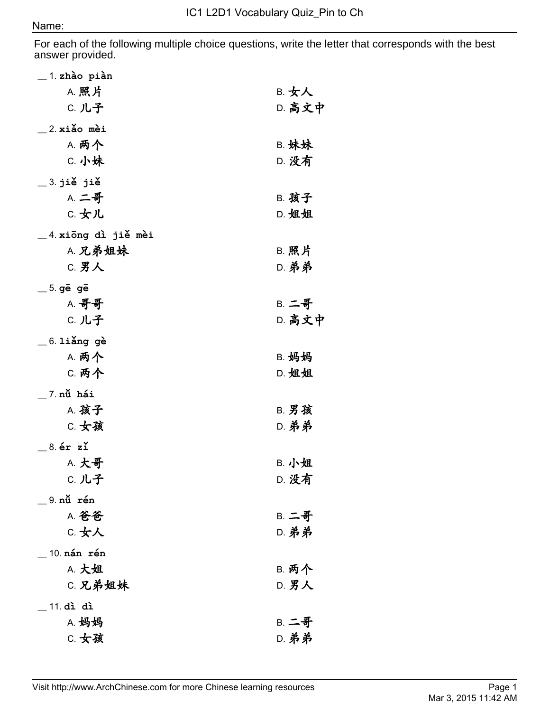For each of the following multiple choice questions, write the letter that corresponds with the best answer provided.

| $\_$ 1. zhào piàn     |              |
|-----------------------|--------------|
| A. 照片                 | B. 女人        |
| C. 儿子                 | D. 高文中       |
|                       |              |
| $\_$ 2.xiǎo mèi       |              |
| <b>A. 两个</b>          | <b>B. 妹妹</b> |
| C. 小妹                 | D. 没有        |
| $\_$ 3. jiě jiě       |              |
| A. 二哥                 | <b>B. 孩子</b> |
| C. 女儿                 | D. 姐姐        |
|                       |              |
| _4.xiōng dì jiě mèi   |              |
| A. 兄弟姐妹               | B. 照片        |
| C. 男人                 | <b>D. 弟弟</b> |
| $=$ 5. ge ge          |              |
| <b>A. 哥哥</b>          | <b>B. 二哥</b> |
| C. 儿子                 | D. 高文中       |
|                       |              |
| $=$ 6. liǎng gè       |              |
| A. 两个                 | B. 妈妈        |
| C. 两个                 | D. 姐姐        |
| $\_$ 7 nử hái         |              |
| A. 孩子                 | <b>B. 男孩</b> |
| C. 女孩                 | <b>D. 弟弟</b> |
|                       |              |
| $-$ 8. ér zľ          |              |
| A. 大哥                 | B. 小姐        |
| C. 儿子                 | D. 没有        |
| 9. nǔ rén             |              |
| A. 爸爸                 | <b>B. 二哥</b> |
| C. 女人                 | <b>D. 弟弟</b> |
|                       |              |
| $\_$ 10. nán $\_$ rén |              |
| A. 大姐                 | <b>B. 两个</b> |
| C. 兄弟姐妹               | D. 男人        |
| 11. dì dì             |              |
| A. 妈妈                 | <b>B. 二哥</b> |
| C. 女孩                 |              |
|                       | <b>D. 弟弟</b> |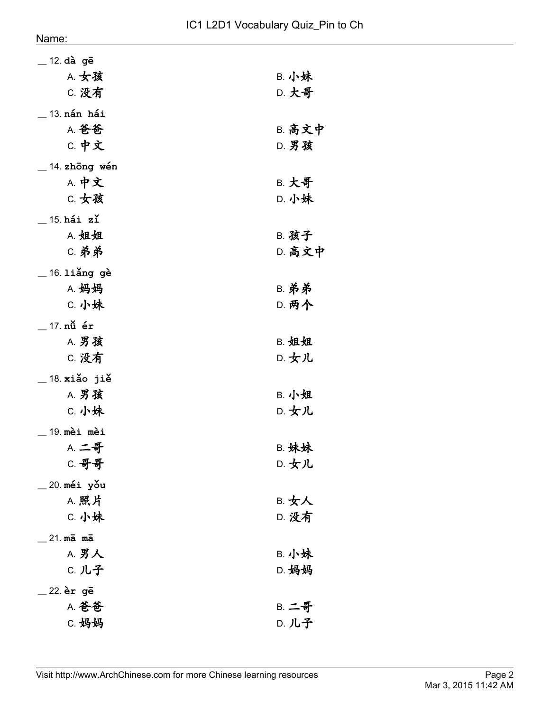| 12. dà gē                   |               |
|-----------------------------|---------------|
| A. 女孩                       | B. 小妹         |
| C. 没有                       | D. 大哥         |
| 13 <b>nán hái</b>           |               |
| A. 爸爸                       | <b>B. 高文中</b> |
| C. 中文                       | <b>D. 男孩</b>  |
| $\_$ 14. zhōng wén          |               |
| A. 中文                       | <b>B. 大哥</b>  |
| C. 女孩                       | D. 小妹         |
| $15. h$ ái zľ               |               |
| A. 姐姐                       | B. 孩子         |
| <b>C. 弟弟</b>                | D. 高文中        |
| $=$ 16. liǎng gè            |               |
| A. 妈妈                       | <b>B. 弟弟</b>  |
| C. 小妹                       | <b>D. 两个</b>  |
| 17. nǚ ér                   |               |
| A. 男孩                       | B. 姐姐         |
| C. 没有                       | D. 女儿         |
| $\_$ 18 $\mathbf x$ iǎo jiě |               |
| A. 男孩                       | B. 小姐         |
| C. 小妹                       | D. 女儿         |
| 19. mèi mèi                 |               |
| <b>A. 二哥</b>                | <b>B. 妹妹</b>  |
| C. 哥哥                       | D. 女儿         |
| <sub>-</sub> 20.méi yǒu     |               |
| A. 照片                       | B. 女人         |
| C. 小妹                       | D. 没有         |
| $21 \text{ m}\bar{a}$ ma    |               |
| A. 男人                       | <b>B. 小妹</b>  |
| C. 儿子                       | D. 妈妈         |
| _22.èrgē                    |               |
| A. 爸爸                       | <b>B. 二哥</b>  |
| C. 妈妈                       | D. 儿子         |